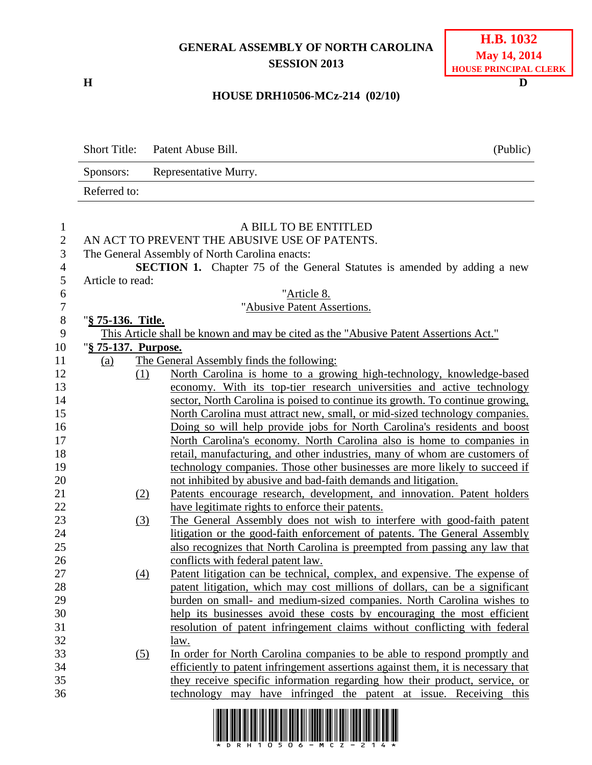## **GENERAL ASSEMBLY OF NORTH CAROLINA SESSION 2013**

**H D**

## **H.B. 1032 May 14, 2014 HOUSE PRINCIPAL CLERK**

## **HOUSE DRH10506-MCz-214 (02/10)**

|                     | <b>Short Title:</b> | Patent Abuse Bill.                               | (Public)                                                                             |
|---------------------|---------------------|--------------------------------------------------|--------------------------------------------------------------------------------------|
|                     | Sponsors:           | Representative Murry.                            |                                                                                      |
|                     | Referred to:        |                                                  |                                                                                      |
| 1<br>$\mathbf{2}$   |                     | AN ACT TO PREVENT THE ABUSIVE USE OF PATENTS.    | A BILL TO BE ENTITLED                                                                |
| 3<br>$\overline{4}$ |                     | The General Assembly of North Carolina enacts:   | <b>SECTION 1.</b> Chapter 75 of the General Statutes is amended by adding a new      |
| 5                   | Article to read:    |                                                  |                                                                                      |
| 6                   |                     |                                                  | "Article 8.                                                                          |
| $\boldsymbol{7}$    |                     |                                                  | "Abusive Patent Assertions.                                                          |
| 8                   | "§ 75-136. Title.   |                                                  |                                                                                      |
| 9                   |                     |                                                  | This Article shall be known and may be cited as the "Abusive Patent Assertions Act." |
| 10                  | "§ 75-137. Purpose. |                                                  |                                                                                      |
| 11                  | (a)                 | The General Assembly finds the following:        |                                                                                      |
| 12                  | (1)                 |                                                  | North Carolina is home to a growing high-technology, knowledge-based                 |
| 13                  |                     |                                                  | economy. With its top-tier research universities and active technology               |
| 14                  |                     |                                                  | sector, North Carolina is poised to continue its growth. To continue growing,        |
| 15                  |                     |                                                  | North Carolina must attract new, small, or mid-sized technology companies.           |
| 16                  |                     |                                                  | Doing so will help provide jobs for North Carolina's residents and boost             |
| 17                  |                     |                                                  | North Carolina's economy. North Carolina also is home to companies in                |
| 18                  |                     |                                                  | retail, manufacturing, and other industries, many of whom are customers of           |
| 19                  |                     |                                                  | technology companies. Those other businesses are more likely to succeed if           |
| 20                  |                     |                                                  | not inhibited by abusive and bad-faith demands and litigation.                       |
| 21                  | (2)                 |                                                  | Patents encourage research, development, and innovation. Patent holders              |
| 22                  |                     | have legitimate rights to enforce their patents. |                                                                                      |
| 23                  | (3)                 |                                                  | The General Assembly does not wish to interfere with good-faith patent               |
| 24                  |                     |                                                  | litigation or the good-faith enforcement of patents. The General Assembly            |
| 25                  |                     |                                                  | also recognizes that North Carolina is preempted from passing any law that           |
| 26                  |                     | conflicts with federal patent law.               |                                                                                      |
| 27                  | $\left(4\right)$    |                                                  | Patent litigation can be technical, complex, and expensive. The expense of           |
| 28                  |                     |                                                  | patent litigation, which may cost millions of dollars, can be a significant          |
| 29                  |                     |                                                  | burden on small- and medium-sized companies. North Carolina wishes to                |
| 30                  |                     |                                                  | help its businesses avoid these costs by encouraging the most efficient              |
| 31                  |                     |                                                  | resolution of patent infringement claims without conflicting with federal            |
| 32                  |                     | law.                                             |                                                                                      |
| 33                  | <u>(5)</u>          |                                                  | In order for North Carolina companies to be able to respond promptly and             |
| 34                  |                     |                                                  | efficiently to patent infringement assertions against them, it is necessary that     |
| 35<br>36            |                     |                                                  | they receive specific information regarding how their product, service, or           |
|                     |                     |                                                  | technology may have infringed the patent at issue. Receiving this                    |
|                     |                     |                                                  |                                                                                      |

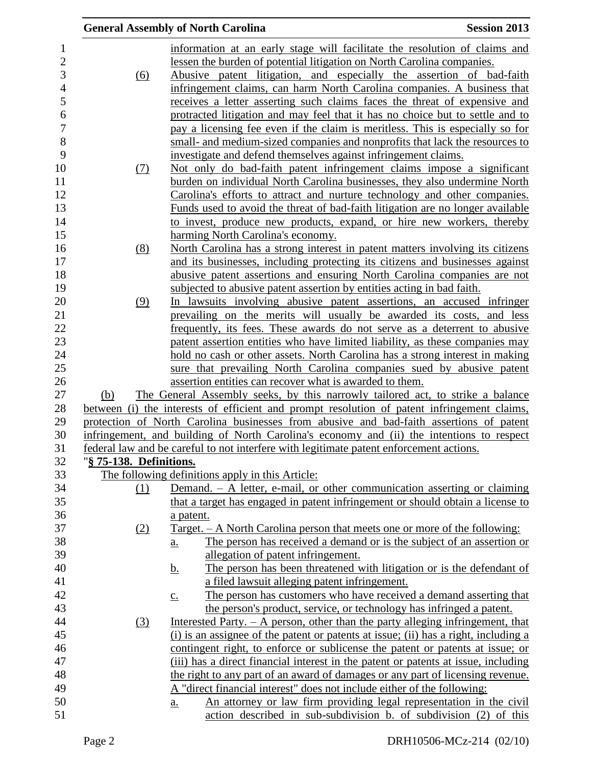|                         | <b>General Assembly of North Carolina</b><br><b>Session 2013</b>                                                                                                              |
|-------------------------|-------------------------------------------------------------------------------------------------------------------------------------------------------------------------------|
|                         | information at an early stage will facilitate the resolution of claims and                                                                                                    |
|                         | lessen the burden of potential litigation on North Carolina companies.                                                                                                        |
| (6)                     | Abusive patent litigation, and especially the assertion of bad-faith                                                                                                          |
|                         | infringement claims, can harm North Carolina companies. A business that                                                                                                       |
|                         | receives a letter asserting such claims faces the threat of expensive and                                                                                                     |
|                         | protracted litigation and may feel that it has no choice but to settle and to                                                                                                 |
|                         | pay a licensing fee even if the claim is meritless. This is especially so for                                                                                                 |
|                         | small- and medium-sized companies and nonprofits that lack the resources to                                                                                                   |
|                         | investigate and defend themselves against infringement claims.                                                                                                                |
| (7)                     | Not only do bad-faith patent infringement claims impose a significant                                                                                                         |
|                         | burden on individual North Carolina businesses, they also undermine North                                                                                                     |
|                         | Carolina's efforts to attract and nurture technology and other companies.                                                                                                     |
|                         | Funds used to avoid the threat of bad-faith litigation are no longer available                                                                                                |
|                         | to invest, produce new products, expand, or hire new workers, thereby                                                                                                         |
|                         | harming North Carolina's economy.                                                                                                                                             |
| (8)                     | North Carolina has a strong interest in patent matters involving its citizens                                                                                                 |
|                         | and its businesses, including protecting its citizens and businesses against                                                                                                  |
|                         | abusive patent assertions and ensuring North Carolina companies are not                                                                                                       |
|                         | subjected to abusive patent assertion by entities acting in bad faith.                                                                                                        |
| (9)                     | In lawsuits involving abusive patent assertions, an accused infringer                                                                                                         |
|                         | prevailing on the merits will usually be awarded its costs, and less                                                                                                          |
|                         | frequently, its fees. These awards do not serve as a deterrent to abusive                                                                                                     |
|                         | patent assertion entities who have limited liability, as these companies may                                                                                                  |
|                         | hold no cash or other assets. North Carolina has a strong interest in making                                                                                                  |
|                         | sure that prevailing North Carolina companies sued by abusive patent                                                                                                          |
|                         | assertion entities can recover what is awarded to them.                                                                                                                       |
| (b)                     | The General Assembly seeks, by this narrowly tailored act, to strike a balance<br>between (i) the interests of efficient and prompt resolution of patent infringement claims, |
|                         | protection of North Carolina businesses from abusive and bad-faith assertions of patent                                                                                       |
|                         | infringement, and building of North Carolina's economy and (ii) the intentions to respect                                                                                     |
|                         | federal law and be careful to not interfere with legitimate patent enforcement actions.                                                                                       |
| "§ 75-138. Definitions. |                                                                                                                                                                               |
|                         | The following definitions apply in this Article:                                                                                                                              |
| (1)                     | Demand. - A letter, e-mail, or other communication asserting or claiming                                                                                                      |
|                         | that a target has engaged in patent infringement or should obtain a license to                                                                                                |
|                         | a patent.                                                                                                                                                                     |
| (2)                     | <u>Target. – A North Carolina person that meets one or more of the following:</u>                                                                                             |
|                         | The person has received a demand or is the subject of an assertion or<br>$\underline{\mathbf{a}}$ .                                                                           |
|                         | allegation of patent infringement.                                                                                                                                            |
|                         | The person has been threatened with litigation or is the defendant of<br><u>b.</u>                                                                                            |
|                         | a filed lawsuit alleging patent infringement.                                                                                                                                 |
|                         | The person has customers who have received a demand asserting that<br>$\underline{c}$ .                                                                                       |
|                         | the person's product, service, or technology has infringed a patent.                                                                                                          |
| (3)                     | Interested Party. $- A$ person, other than the party alleging infringement, that                                                                                              |
|                         | (i) is an assignee of the patent or patents at issue; (ii) has a right, including a                                                                                           |
|                         | contingent right, to enforce or sublicense the patent or patents at issue; or                                                                                                 |
|                         | (iii) has a direct financial interest in the patent or patents at issue, including                                                                                            |
|                         | the right to any part of an award of damages or any part of licensing revenue.                                                                                                |
|                         | A "direct financial interest" does not include either of the following:                                                                                                       |
|                         | An attorney or law firm providing legal representation in the civil<br>$\underline{a}$ .                                                                                      |
|                         | action described in sub-subdivision b. of subdivision (2) of this                                                                                                             |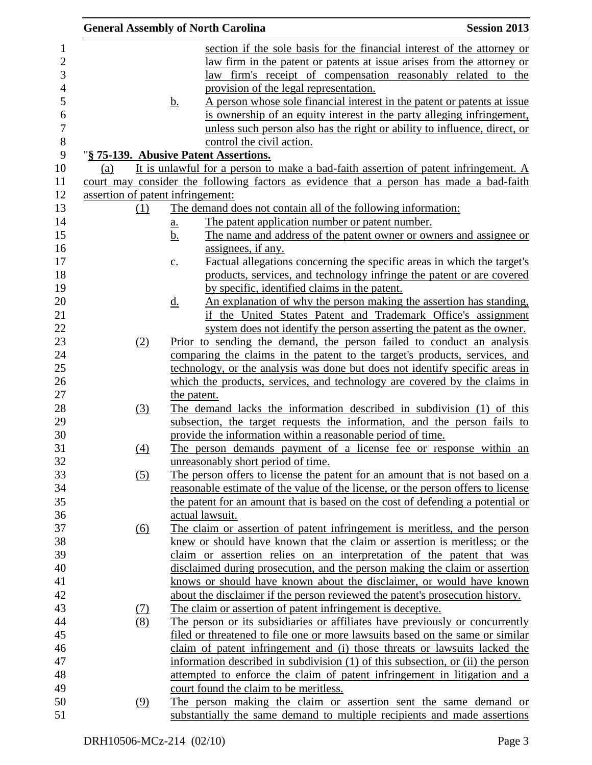|                                   |                   | <b>General Assembly of North Carolina</b>                                                                           | <b>Session 2013</b> |
|-----------------------------------|-------------------|---------------------------------------------------------------------------------------------------------------------|---------------------|
|                                   |                   | section if the sole basis for the financial interest of the attorney or                                             |                     |
|                                   |                   | <u>law</u> firm in the patent or patents at issue arises from the attorney or                                       |                     |
|                                   |                   | law firm's receipt of compensation reasonably related to the                                                        |                     |
|                                   |                   | provision of the legal representation.                                                                              |                     |
|                                   | <u>b.</u>         | A person whose sole financial interest in the patent or patents at issue                                            |                     |
|                                   |                   | is ownership of an equity interest in the party alleging infringement,                                              |                     |
|                                   |                   | unless such person also has the right or ability to influence, direct, or                                           |                     |
|                                   |                   | control the civil action.                                                                                           |                     |
|                                   |                   | "§ 75-139. Abusive Patent Assertions.                                                                               |                     |
| (a)                               |                   | It is unlawful for a person to make a bad-faith assertion of patent infringement. A                                 |                     |
|                                   |                   | court may consider the following factors as evidence that a person has made a bad-faith                             |                     |
| assertion of patent infringement: |                   |                                                                                                                     |                     |
| (1)                               |                   | The demand does not contain all of the following information:                                                       |                     |
|                                   | <u>a.</u>         | The patent application number or patent number.                                                                     |                     |
|                                   | <u>b.</u>         | The name and address of the patent owner or owners and assignee or                                                  |                     |
|                                   |                   | assignees, if any.                                                                                                  |                     |
|                                   | $\underline{c}$ . | Factual allegations concerning the specific areas in which the target's                                             |                     |
|                                   |                   | products, services, and technology infringe the patent or are covered                                               |                     |
|                                   |                   | by specific, identified claims in the patent.                                                                       |                     |
|                                   | <u>d.</u>         | An explanation of why the person making the assertion has standing,                                                 |                     |
|                                   |                   | if the United States Patent and Trademark Office's assignment                                                       |                     |
|                                   |                   | system does not identify the person asserting the patent as the owner.                                              |                     |
| (2)                               |                   | Prior to sending the demand, the person failed to conduct an analysis                                               |                     |
|                                   |                   | comparing the claims in the patent to the target's products, services, and                                          |                     |
|                                   |                   | technology, or the analysis was done but does not identify specific areas in                                        |                     |
|                                   |                   | which the products, services, and technology are covered by the claims in                                           |                     |
|                                   | the patent.       |                                                                                                                     |                     |
| (3)                               |                   | The demand lacks the information described in subdivision (1) of this                                               |                     |
|                                   |                   | subsection, the target requests the information, and the person fails to                                            |                     |
|                                   |                   | provide the information within a reasonable period of time.                                                         |                     |
| (4)                               |                   | The person demands payment of a license fee or response within an                                                   |                     |
|                                   |                   | unreasonably short period of time.                                                                                  |                     |
| (5)                               |                   | The person offers to license the patent for an amount that is not based on a                                        |                     |
|                                   |                   | reasonable estimate of the value of the license, or the person offers to license                                    |                     |
|                                   |                   | the patent for an amount that is based on the cost of defending a potential or                                      |                     |
|                                   |                   | actual lawsuit.                                                                                                     |                     |
| <u>(6)</u>                        |                   | The claim or assertion of patent infringement is meritless, and the person                                          |                     |
|                                   |                   | knew or should have known that the claim or assertion is meritless; or the                                          |                     |
|                                   |                   | claim or assertion relies on an interpretation of the patent that was                                               |                     |
|                                   |                   | disclaimed during prosecution, and the person making the claim or assertion                                         |                     |
|                                   |                   | knows or should have known about the disclaimer, or would have known                                                |                     |
|                                   |                   | about the disclaimer if the person reviewed the patent's prosecution history.                                       |                     |
| <u>(7)</u>                        |                   | The claim or assertion of patent infringement is deceptive.                                                         |                     |
| (8)                               |                   | The person or its subsidiaries or affiliates have previously or concurrently                                        |                     |
|                                   |                   | filed or threatened to file one or more lawsuits based on the same or similar                                       |                     |
|                                   |                   | claim of patent infringement and (i) those threats or lawsuits lacked the                                           |                     |
|                                   |                   | information described in subdivision (1) of this subsection, or (ii) the person                                     |                     |
|                                   |                   |                                                                                                                     |                     |
|                                   |                   | attempted to enforce the claim of patent infringement in litigation and a<br>court found the claim to be meritless. |                     |
| (9)                               |                   | The person making the claim or assertion sent the same demand or                                                    |                     |
|                                   |                   | substantially the same demand to multiple recipients and made assertions                                            |                     |
|                                   |                   |                                                                                                                     |                     |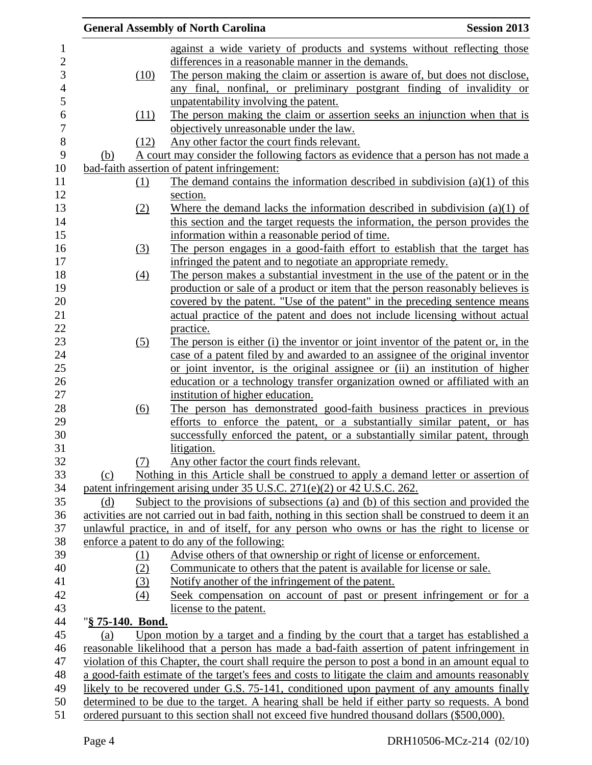|                  |                   | <b>General Assembly of North Carolina</b>                                                             | <b>Session 2013</b> |
|------------------|-------------------|-------------------------------------------------------------------------------------------------------|---------------------|
|                  |                   | against a wide variety of products and systems without reflecting those                               |                     |
|                  |                   | differences in a reasonable manner in the demands.                                                    |                     |
|                  | (10)              | The person making the claim or assertion is aware of, but does not disclose,                          |                     |
|                  |                   | any final, nonfinal, or preliminary postgrant finding of invalidity or                                |                     |
|                  |                   | unpatentability involving the patent.                                                                 |                     |
|                  | (11)              | The person making the claim or assertion seeks an injunction when that is                             |                     |
|                  |                   | objectively unreasonable under the law.                                                               |                     |
|                  | (12)              | Any other factor the court finds relevant.                                                            |                     |
| (b)              |                   | A court may consider the following factors as evidence that a person has not made a                   |                     |
|                  |                   | bad-faith assertion of patent infringement:                                                           |                     |
|                  | (1)               | The demand contains the information described in subdivision $(a)(1)$ of this                         |                     |
|                  |                   | section.                                                                                              |                     |
|                  | (2)               | Where the demand lacks the information described in subdivision $(a)(1)$ of                           |                     |
|                  |                   | this section and the target requests the information, the person provides the                         |                     |
|                  |                   | information within a reasonable period of time.                                                       |                     |
|                  | (3)               | The person engages in a good-faith effort to establish that the target has                            |                     |
|                  |                   | infringed the patent and to negotiate an appropriate remedy.                                          |                     |
|                  | (4)               | The person makes a substantial investment in the use of the patent or in the                          |                     |
|                  |                   | production or sale of a product or item that the person reasonably believes is                        |                     |
|                  |                   | covered by the patent. "Use of the patent" in the preceding sentence means                            |                     |
|                  |                   | actual practice of the patent and does not include licensing without actual                           |                     |
|                  |                   | practice.                                                                                             |                     |
|                  | (5)               | The person is either (i) the inventor or joint inventor of the patent or, in the                      |                     |
|                  |                   | case of a patent filed by and awarded to an assignee of the original inventor                         |                     |
|                  |                   | or joint inventor, is the original assignee or (ii) an institution of higher                          |                     |
|                  |                   | education or a technology transfer organization owned or affiliated with an                           |                     |
|                  |                   | institution of higher education.                                                                      |                     |
|                  | $\underline{(6)}$ | The person has demonstrated good-faith business practices in previous                                 |                     |
|                  |                   | efforts to enforce the patent, or a substantially similar patent, or has                              |                     |
|                  |                   | successfully enforced the patent, or a substantially similar patent, through                          |                     |
|                  |                   | litigation.                                                                                           |                     |
|                  | (7)               | Any other factor the court finds relevant.                                                            |                     |
| (c)              |                   | Nothing in this Article shall be construed to apply a demand letter or assertion of                   |                     |
|                  |                   | patent infringement arising under 35 U.S.C. 271(e)(2) or 42 U.S.C. 262.                               |                     |
| (d)              |                   | Subject to the provisions of subsections (a) and (b) of this section and provided the                 |                     |
|                  |                   | activities are not carried out in bad faith, nothing in this section shall be construed to deem it an |                     |
|                  |                   | unlawful practice, in and of itself, for any person who owns or has the right to license or           |                     |
|                  |                   | enforce a patent to do any of the following:                                                          |                     |
|                  | <u>(1)</u>        | Advise others of that ownership or right of license or enforcement.                                   |                     |
|                  | (2)               | Communicate to others that the patent is available for license or sale.                               |                     |
|                  | (3)               | Notify another of the infringement of the patent.                                                     |                     |
|                  | (4)               | Seek compensation on account of past or present infringement or for a                                 |                     |
|                  |                   | license to the patent.                                                                                |                     |
| "§ 75-140. Bond. |                   |                                                                                                       |                     |
| (a)              |                   | Upon motion by a target and a finding by the court that a target has established a                    |                     |
|                  |                   | reasonable likelihood that a person has made a bad-faith assertion of patent infringement in          |                     |
|                  |                   | violation of this Chapter, the court shall require the person to post a bond in an amount equal to    |                     |
|                  |                   | a good-faith estimate of the target's fees and costs to litigate the claim and amounts reasonably     |                     |
|                  |                   | likely to be recovered under G.S. 75-141, conditioned upon payment of any amounts finally             |                     |
|                  |                   | determined to be due to the target. A hearing shall be held if either party so requests. A bond       |                     |
|                  |                   | ordered pursuant to this section shall not exceed five hundred thousand dollars (\$500,000).          |                     |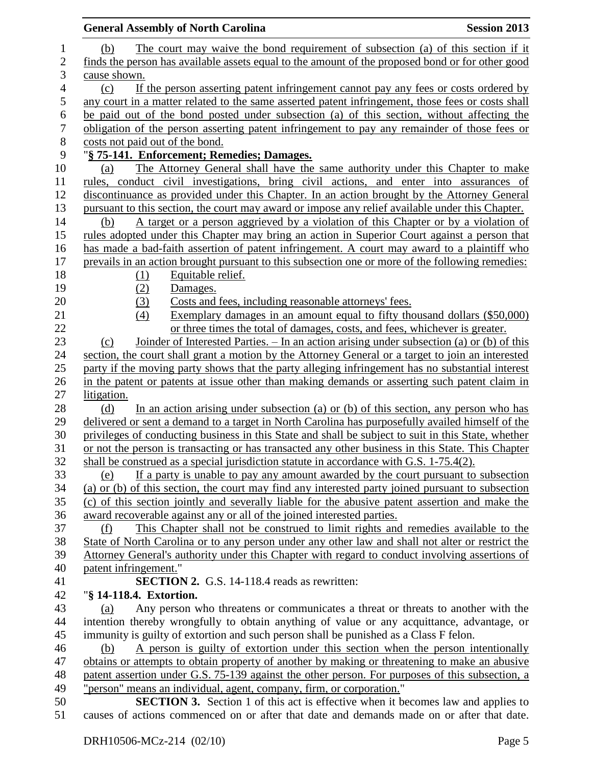|                | <b>General Assembly of North Carolina</b><br><b>Session 2013</b>                                                                                                                             |
|----------------|----------------------------------------------------------------------------------------------------------------------------------------------------------------------------------------------|
| $\mathbf 1$    | The court may waive the bond requirement of subsection (a) of this section if it<br>(b)                                                                                                      |
| $\overline{2}$ | finds the person has available assets equal to the amount of the proposed bond or for other good                                                                                             |
| 3              | cause shown.                                                                                                                                                                                 |
| $\overline{4}$ | If the person asserting patent infringement cannot pay any fees or costs ordered by<br>(c)                                                                                                   |
| 5              | any court in a matter related to the same asserted patent infringement, those fees or costs shall                                                                                            |
| 6              | be paid out of the bond posted under subsection (a) of this section, without affecting the                                                                                                   |
| $\tau$         | obligation of the person asserting patent infringement to pay any remainder of those fees or                                                                                                 |
| $8\,$          | costs not paid out of the bond.                                                                                                                                                              |
| 9              | "§ 75-141. Enforcement; Remedies; Damages.                                                                                                                                                   |
| 10             | The Attorney General shall have the same authority under this Chapter to make<br>(a)                                                                                                         |
| 11             | rules, conduct civil investigations, bring civil actions, and enter into assurances of                                                                                                       |
| 12             | discontinuance as provided under this Chapter. In an action brought by the Attorney General                                                                                                  |
| 13             | pursuant to this section, the court may award or impose any relief available under this Chapter.                                                                                             |
| 14             | A target or a person aggrieved by a violation of this Chapter or by a violation of<br>(b)                                                                                                    |
| 15             | rules adopted under this Chapter may bring an action in Superior Court against a person that                                                                                                 |
| 16             | has made a bad-faith assertion of patent infringement. A court may award to a plaintiff who                                                                                                  |
| 17             | prevails in an action brought pursuant to this subsection one or more of the following remedies:                                                                                             |
| 18             | Equitable relief.<br>(1)                                                                                                                                                                     |
| 19             | (2)<br>Damages.                                                                                                                                                                              |
| 20             | Costs and fees, including reasonable attorneys' fees.<br>(3)                                                                                                                                 |
| 21             | (4)<br>Exemplary damages in an amount equal to fifty thousand dollars (\$50,000)                                                                                                             |
| 22             | or three times the total of damages, costs, and fees, whichever is greater.                                                                                                                  |
| 23             | Joinder of Interested Parties. $-$ In an action arising under subsection (a) or (b) of this<br>(c)                                                                                           |
| 24             | section, the court shall grant a motion by the Attorney General or a target to join an interested                                                                                            |
| 25             | party if the moving party shows that the party alleging infringement has no substantial interest                                                                                             |
| 26             | in the patent or patents at issue other than making demands or asserting such patent claim in                                                                                                |
| 27             | litigation.                                                                                                                                                                                  |
| 28             | In an action arising under subsection (a) or (b) of this section, any person who has<br>(d)                                                                                                  |
| 29             | delivered or sent a demand to a target in North Carolina has purposefully availed himself of the                                                                                             |
| 30             | privileges of conducting business in this State and shall be subject to suit in this State, whether                                                                                          |
| 31             | or not the person is transacting or has transacted any other business in this State. This Chapter                                                                                            |
| 32             | shall be construed as a special jurisdiction statute in accordance with G.S. 1-75.4(2).                                                                                                      |
| 33             | If a party is unable to pay any amount awarded by the court pursuant to subsection<br>(e)                                                                                                    |
| 34             | (a) or (b) of this section, the court may find any interested party joined pursuant to subsection                                                                                            |
| 35             | (c) of this section jointly and severally liable for the abusive patent assertion and make the                                                                                               |
| 36<br>37       | award recoverable against any or all of the joined interested parties.                                                                                                                       |
| 38             | This Chapter shall not be construed to limit rights and remedies available to the<br>(f)<br>State of North Carolina or to any person under any other law and shall not alter or restrict the |
| 39             | Attorney General's authority under this Chapter with regard to conduct involving assertions of                                                                                               |
| 40             | patent infringement."                                                                                                                                                                        |
| 41             | <b>SECTION 2.</b> G.S. 14-118.4 reads as rewritten:                                                                                                                                          |
| 42             | "§ 14-118.4. Extortion.                                                                                                                                                                      |
| 43             | Any person who threatens or communicates a threat or threats to another with the<br>(a)                                                                                                      |
| 44             | intention thereby wrongfully to obtain anything of value or any acquittance, advantage, or                                                                                                   |
| 45             | immunity is guilty of extortion and such person shall be punished as a Class F felon.                                                                                                        |
| 46             | A person is guilty of extortion under this section when the person intentionally<br>(b)                                                                                                      |
| 47             | obtains or attempts to obtain property of another by making or threatening to make an abusive                                                                                                |
| 48             | patent assertion under G.S. 75-139 against the other person. For purposes of this subsection, a                                                                                              |
| 49             | "person" means an individual, agent, company, firm, or corporation."                                                                                                                         |
| 50             | <b>SECTION 3.</b> Section 1 of this act is effective when it becomes law and applies to                                                                                                      |
| 51             | causes of actions commenced on or after that date and demands made on or after that date.                                                                                                    |